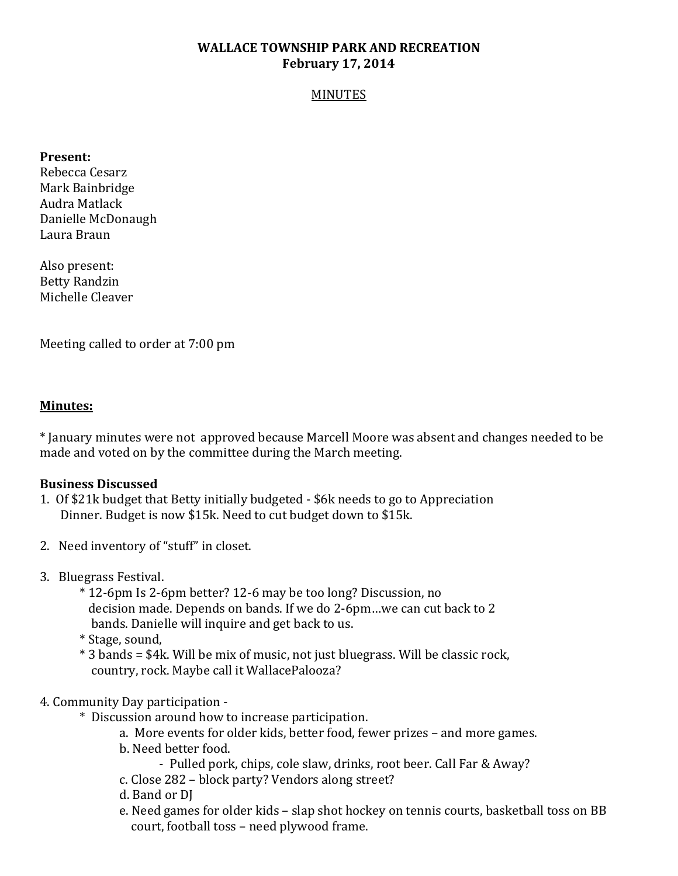# **WALLACE TOWNSHIP PARK AND RECREATION February 17, 2014**

#### MINUTES

### **Present:**

Rebecca Cesarz Mark Bainbridge Audra Matlack Danielle McDonaugh Laura Braun

Also present: Betty Randzin Michelle Cleaver

Meeting called to order at 7:00 pm

### **Minutes:**

\* January minutes were not approved because Marcell Moore was absent and changes needed to be made and voted on by the committee during the March meeting.

### **Business Discussed**

- 1. Of \$21k budget that Betty initially budgeted \$6k needs to go to Appreciation Dinner. Budget is now \$15k. Need to cut budget down to \$15k.
- 2. Need inventory of "stuff" in closet.
- 3. Bluegrass Festival.
	- \* 12-6pm Is 2-6pm better? 12-6 may be too long? Discussion, no decision made. Depends on bands. If we do 2-6pm…we can cut back to 2 bands. Danielle will inquire and get back to us.
	- \* Stage, sound,
	- \* 3 bands = \$4k. Will be mix of music, not just bluegrass. Will be classic rock, country, rock. Maybe call it WallacePalooza?

## 4. Community Day participation -

- \* Discussion around how to increase participation.
	- a. More events for older kids, better food, fewer prizes and more games.
	- b. Need better food.
		- Pulled pork, chips, cole slaw, drinks, root beer. Call Far & Away?
	- c. Close 282 block party? Vendors along street?
	- d. Band or DJ
	- e. Need games for older kids slap shot hockey on tennis courts, basketball toss on BB court, football toss – need plywood frame.